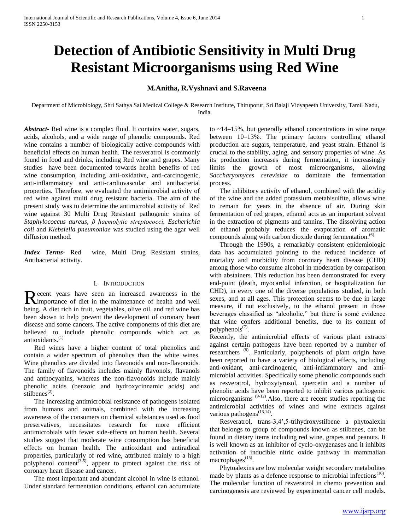# **Detection of Antibiotic Sensitivity in Multi Drug Resistant Microorganisms using Red Wine**

# **M.Anitha, R.Vyshnavi and S.Raveena**

Department of Microbiology, Shri Sathya Sai Medical College & Research Institute, Thiruporur, Sri Balaji Vidyapeeth University, Tamil Nadu, India.

*Abstract***-** Red wine is a complex fluid. It contains water, sugars, acids, alcohols, and a wide range of phenolic compounds. Red wine contains a number of biologically active compounds with beneficial effects on human health. The resveratrol is commonly found in food and drinks, including Red wine and grapes. Many studies have been documented towards health benefits of red wine consumption, including anti-oxidative, anti-carcinogenic, anti-inflammatory and anti-cardiovascular and antibacterial properties. Therefore, we evaluated the antimicrobial activity of red wine against multi drug resistant bacteria. The aim of the present study was to determine the antimicrobial activity of Red wine against 30 Multi Drug Resistant pathogenic strains of *Staphylococcus aureus*, *β haemolytic streptococci, Escherichia coli* and *Klebsiella pneumoniae* was studied using the agar well diffusion method.

*Index Terms*- Red wine, Multi Drug Resistant strains, Antibacterial activity.

## I. INTRODUCTION

ecent years have seen an increased awareness in the Recent years have seen an increased awareness in the maintenance of diet in the maintenance of health and well being. A diet rich in fruit, vegetables, olive oil, and red wine has been shown to help prevent the development of coronary heart disease and some cancers. The active components of this diet are believed to include phenolic compounds which act as antioxidants.(1)

 Red wines have a higher content of total phenolics and contain a wider spectrum of phenolics than the white wines. Wine phenolics are divided into flavonoids and non-flavonoids. The family of flavonoids includes mainly flavonols, flavanols and anthocyanins, whereas the non-flavonoids include mainly phenolic acids (benzoic and hydroxycinnamic acids) and  $s$ tilbenes<sup>(2)</sup>.

 The increasing antimicrobial resistance of pathogens isolated from humans and animals, combined with the increasing awareness of the consumers on chemical substances used as food preservatives, necessitates research for more efficient antimicrobials with fewer side-effects on human health. Several studies suggest that moderate wine consumption has beneficial effects on human health. The antioxidant and antiradical properties, particularly of red wine, attributed mainly to a high polyphenol content<sup> $(3-5)$ </sup>, appear to protect against the risk of coronary heart disease and cancer.

 The most important and abundant alcohol in wine is ethanol. Under standard fermentation conditions, ethanol can accumulate to ~14–15%, but generally ethanol concentrations in wine range between 10–13%. The primary factors controlling ethanol production are sugars, temperature, and yeast strain. Ethanol is crucial to the stability, aging, and sensory properties of wine. As its production increases during fermentation, it increasingly limits the growth of most microorganisms, allowing *Saccharyomyces cerevisiae* to dominate the fermentation process.

 The inhibitory activity of ethanol, combined with the acidity of the wine and the added potassium metabisulfite, allows wine to remain for years in the absence of air. During skin fermentation of red grapes, ethanol acts as an important solvent in the extraction of pigments and tannins. The dissolving action of ethanol probably reduces the evaporation of aromatic compounds along with carbon dioxide during fermentation.<sup>(6)</sup>

 Through the 1990s, a remarkably consistent epidemiologic data has accumulated pointing to the reduced incidence of mortality and morbidity from coronary heart disease (CHD) among those who consume alcohol in moderation by comparison with abstainers. This reduction has been demonstrated for every end-point (death, myocardial infarction, or hospitalization for CHD), in every one of the diverse populations studied, in both sexes, and at all ages. This protection seems to be due in large measure, if not exclusively, to the ethanol present in those beverages classified as "alcoholic," but there is some evidence that wine confers additional benefits, due to its content of polyphenols $(7)$ .

Recently, the antimicrobial effects of various plant extracts against certain pathogens have been reported by a number of researchers<sup>(8)</sup>. Particularly, polyphenols of plant origin have been reported to have a variety of biological effects, including anti-oxidant, anti-carcinogenic, anti-inflammatory and antimicrobial activities. Specifically some phenolic compounds such as resveratrol, hydroxytyrosol, quercetin and a number of phenolic acids have been reported to inhibit various pathogenic microorganisms  $(9-12)$ . Also, there are recent studies reporting the antimicrobial activities of wines and wine extracts against various pathogens $^{(13,14)}$ .

 Resveratrol, trans-3,4',5-trihydroxystilbene a phytoalexin that belongs to group of compounds known as stilbenes, can be found in dietary items including red wine, grapes and peanuts. It is well known as an inhibitor of cyclo-oxygenases and it inhibits activation of inducible nitric oxide pathway in mammalian macrophages<sup>(15)</sup>.

 Phytoalexins are low molecular weight secondary metabolites made by plants as a defence response to microbial infections<sup>(16)</sup>. The molecular function of resveratrol in chemo prevention and carcinogenesis are reviewed by experimental cancer cell models.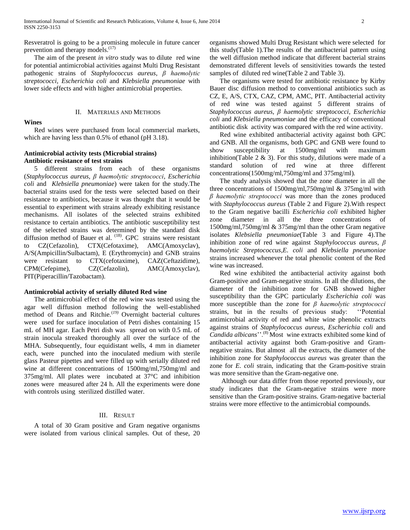Resveratrol is going to be a promising molecule in future cancer prevention and therapy models. $(17)$ 

 The aim of the present *in vitro* study was to dilute red wine for potential antimicrobial activities against Multi Drug Resistant pathogenic strains of *Staphylococcus aureus*, *β haemolytic streptococci, Escherichia coli* and *Klebsiella pneumoniae* with lower side effects and with higher antimicrobial properties.

#### II. MATERIALS AND METHODS

## **Wines**

 Red wines were purchased from local commercial markets, which are having less than 0.5% of ethanol (pH 3.18).

## **Antimicrobial activity tests (Microbial strains) Antibiotic resistance of test strains**

 5 different strains from each of these organisms (*Staphylococcus aureus, β haemolytic streptococci, Escherichia coli* and *Klebsiella pneumoniae*) were taken for the study.The bacterial strains used for the tests were selected based on their resistance to antibiotics, because it was thought that it would be essential to experiment with strains already exhibiting resistance mechanisms. All isolates of the selected strains exhibited resistance to certain antibiotics. The antibiotic susceptibility test of the selected strains was determined by the standard disk diffusion method of Bauer et al. <sup>(18)</sup>. GPC strains were resistant to CZ(Cefazolin), CTX(Cefotaxime), AMC(Amoxyclav), A/S(Ampicillin/Sulbactam), E (Erythromycin) and GNB strains were resistant to CTX(cefotaxime), CAZ(Ceftazidime), CPM(Cefepime), CZ(Cefazolin), AMC(Amoxyclav), PIT(Piperacillin/Tazobactam).

## **Antimicrobial activity of serially diluted Red wine**

 The antimicrobial effect of the red wine was tested using the agar well diffusion method following the well-established method of Deans and Ritchie.<sup>(19)</sup> Overnight bacterial cultures were used for surface inoculation of Petri dishes containing 15 mL of MH agar. Each Petri dish was spread on with 0.5 mL of strain inocula streaked thoroughly all over the surface of the MHA. Subsequently, four equidistant wells, 4 mm in diameter each, were punched into the inoculated medium with sterile glass Pasteur pipettes and were filled up with serially diluted red wine at different concentrations of 1500mg/ml,750mg/ml and 375mg/ml. All plates were incubated at 37°C and inhibition zones were measured after 24 h. All the experiments were done with controls using sterilized distilled water.

## III. RESULT

 A total of 30 Gram positive and Gram negative organisms were isolated from various clinical samples. Out of these, 20 organisms showed Multi Drug Resistant which were selected for this study(Table 1).The results of the antibacterial pattern using the well diffusion method indicate that different bacterial strains demonstrated different levels of sensitivities towards the tested samples of diluted red wine(Table 2 and Table 3).

 The organisms were tested for antibiotic resistance by Kirby Bauer disc diffusion method to conventional antibiotics such as CZ, E, A/S, CTX, CAZ, CPM, AMC, PIT. Antibacterial activity of red wine was tested against 5 different strains of *Staphylococcus aureus*, *β haemolytic streptococci*, *Escherichia coli* and *Klebsiella pneumoniae* and the efficacy of conventional antibiotic disk activity was compared with the red wine activity.

 Red wine exhibited antibacterial activity against both GPC and GNB. All the organisms, both GPC and GNB were found to show susceptibility at 1500mg/ml with maximum inhibition(Table 2  $\&$  3). For this study, dilutions were made of a standard solution of red wine at three different concentrations(1500mg/ml,750mg/ml and 375mg/ml)*.*

 The study analysis showed that the zone diameter in all the three concentrations of 1500mg/ml,750mg/ml & 375mg/ml with *β haemolytic streptococci* was more than the zones produced with *Staphylococcus aureus* (Table 2 and Figure 2).With respect to the Gram negative bacilli *Escherichia coli* exhibited higher zone diameter in all the three concentrations of 1500mg/ml,750mg/ml & 375mg/ml than the other Gram negative isolates *Klebsiella pneumoniae*(Table 3 and Figure 4).The inhibition zone of red wine against *Staphylococcus aureus, β haemolytic Streptococcus,E. coli* and *Klebsiella pneumoniae* strains increased whenever the total phenolic content of the Red wine was increased.

 Red wine exhibited the antibacterial activity against both Gram-positive and Gram-negative strains. In all the dilutions, the diameter of the inhibition zone for GNB showed higher susceptibility than the GPC particularly *Escherichia coli* was more susceptible than the zone for *β haemolytic streptococci* strains*,* but in the results of previous study: ''Potential antimicrobial activity of red and white wine phenolic extracts against strains of *Staphylococcus aureus*, *Escherichia coli* and *Candida albicans*''.(8) Most wine extracts exhibited some kind of antibacterial activity against both Gram-positive and Gramnegative strains. But almost all the extracts, the diameter of the inhibition zone for *Staphylococcus aureus* was greater than the zone for *E. coli* strain, indicating that the Gram-positive strain was more sensitive than the Gram-negative one.

 Although our data differ from those reported previously, our study indicates that the Gram-negative strains were more sensitive than the Gram-positive strains. Gram-negative bacterial strains were more effective to the antimicrobial compounds.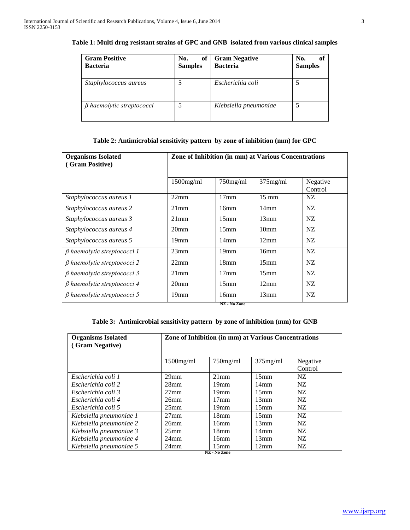| <b>Gram Positive</b><br><b>Bacteria</b> | of<br>No.<br><b>Samples</b> | <b>Gram Negative</b><br><b>Bacteria</b> | No.<br>of<br><b>Samples</b> |
|-----------------------------------------|-----------------------------|-----------------------------------------|-----------------------------|
| Staphylococcus aureus                   |                             | Escherichia coli                        |                             |
| $\beta$ haemolytic streptococci         |                             | Klebsiella pneumoniae                   |                             |

# **Table 1: Multi drug resistant strains of GPC and GNB isolated from various clinical samples**

# **Table 2: Antimicrobial sensitivity pattern by zone of inhibition (mm) for GPC**

| <b>Organisms Isolated</b><br>(Gram Positive) | Zone of Inhibition (in mm) at Various Concentrations |                  |                  |                     |  |
|----------------------------------------------|------------------------------------------------------|------------------|------------------|---------------------|--|
|                                              | $1500$ mg/ml                                         | $750$ mg/ml      | $375$ mg/ml      | Negative<br>Control |  |
| Staphylococcus aureus 1                      | 22mm                                                 | $17 \text{mm}$   | $15 \text{ mm}$  | NZ.                 |  |
| Staphylococcus aureus 2                      | $21$ mm                                              | 16mm             | $14 \text{mm}$   | NZ.                 |  |
| Staphylococcus aureus 3                      | $21$ mm                                              | 15 <sub>mm</sub> | 13mm             | NZ.                 |  |
| Staphylococcus aureus 4                      | 20 <sub>mm</sub>                                     | 15 <sub>mm</sub> | 10 <sub>mm</sub> | NZ.                 |  |
| Staphylococcus aureus 5                      | 19mm                                                 | $14 \text{mm}$   | 12mm             | NZ.                 |  |
| $\beta$ haemolytic streptococci 1            | 23mm                                                 | 19mm             | 16mm             | NZ.                 |  |
| $\beta$ haemolytic streptococci 2            | 22mm                                                 | 18 <sub>mm</sub> | 15 <sub>mm</sub> | NZ.                 |  |
| $\beta$ haemolytic streptococci 3            | $21$ mm                                              | $17 \text{mm}$   | 15mm             | NZ.                 |  |
| $\beta$ haemolytic streptococci 4            | 20 <sub>mm</sub>                                     | 15 <sub>mm</sub> | 12mm             | NZ.                 |  |
| $\beta$ haemolytic streptococci 5            | 19mm                                                 | 16mm             | 13mm             | NZ                  |  |

#### **NZ - No Zone**

## **Table 3: Antimicrobial sensitivity pattern by zone of inhibition (mm) for GNB**

| <b>Organisms Isolated</b><br>(Gram Negative) |                  | Zone of Inhibition (in mm) at Various Concentrations |                  |          |  |  |
|----------------------------------------------|------------------|------------------------------------------------------|------------------|----------|--|--|
|                                              | $1500$ mg/ml     | $750$ mg/ml                                          | $375$ mg/ml      | Negative |  |  |
|                                              |                  |                                                      |                  | Control  |  |  |
| Escherichia coli 1                           | 29 <sub>mm</sub> | $21$ mm                                              | 15mm             | NZ.      |  |  |
| Escherichia coli 2                           | 28mm             | 19 <sub>mm</sub>                                     | $14 \text{mm}$   | NZ.      |  |  |
| Escherichia coli 3                           | $27$ mm          | 19mm                                                 | $15$ mm          | NZ.      |  |  |
| Escherichia coli 4                           | 26mm             | $17 \text{mm}$                                       | 13mm             | NZ.      |  |  |
| Escherichia coli 5                           | 25 <sub>mm</sub> | 19 <sub>mm</sub>                                     | $15$ mm          | NZ.      |  |  |
| Klebsiella pneumoniae 1                      | $27$ mm          | 18 <sub>mm</sub>                                     | 15 <sub>mm</sub> | NZ.      |  |  |
| Klebsiella pneumoniae 2                      | 26 <sub>mm</sub> | 16mm                                                 | 13mm             | NZ.      |  |  |
| Klebsiella pneumoniae 3                      | 25 <sub>mm</sub> | 18mm                                                 | $14 \text{mm}$   | NZ.      |  |  |
| Klebsiella pneumoniae 4                      | 24 <sub>mm</sub> | 16mm                                                 | 13mm             | NZ.      |  |  |
| Klebsiella pneumoniae 5                      | $24$ mm          | 15 <sub>mm</sub>                                     | 12mm             | NZ       |  |  |
| NZ - No Zone                                 |                  |                                                      |                  |          |  |  |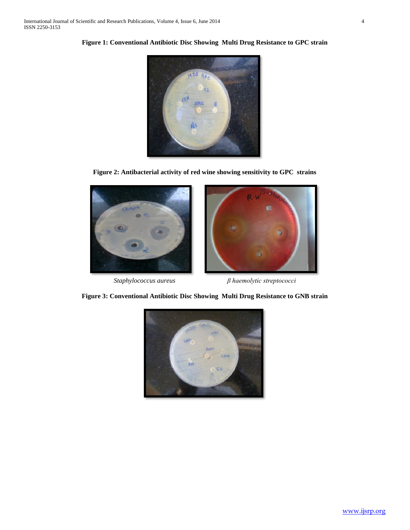

**Figure 1: Conventional Antibiotic Disc Showing Multi Drug Resistance to GPC strain**

**Figure 2: Antibacterial activity of red wine showing sensitivity to GPC strains**





*Staphylococcus aureus**β haemolytic streptococci*



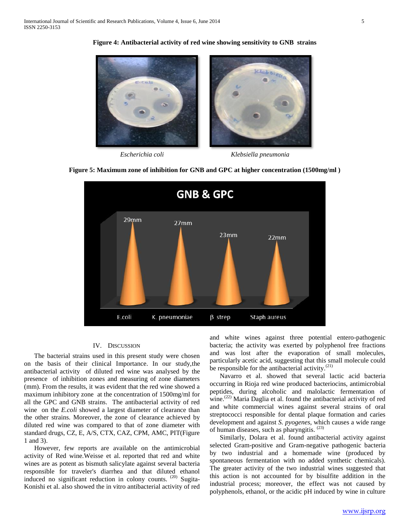

**Figure 4: Antibacterial activity of red wine showing sensitivity to GNB strains**

*Escherichia coli Klebsiella pneumonia*





## IV. DISCUSSION

 The bacterial strains used in this present study were chosen on the basis of their clinical Importance. In our study,the antibacterial activity of diluted red wine was analysed by the presence of inhibition zones and measuring of zone diameters (mm). From the results, it was evident that the red wine showed a maximum inhibitory zone at the concentration of 1500mg/ml for all the GPC and GNB strains. The antibacterial activity of red wine on the *E.coli* showed a largest diameter of clearance than the other strains. Moreover, the zone of clearance achieved by diluted red wine was compared to that of zone diameter with standard drugs, CZ, E, A/S, CTX, CAZ, CPM, AMC, PIT(Figure 1 and 3).

 However, few reports are available on the antimicrobial activity of Red wine*.*Weisse et al. reported that red and white wines are as potent as bismuth salicylate against several bacteria responsible for traveler's diarrhea and that diluted ethanol induced no significant reduction in colony counts.  $(20)$  Sugita-Konishi et al. also showed the in vitro antibacterial activity of red

and white wines against three potential entero-pathogenic bacteria; the activity was exerted by polyphenol free fractions and was lost after the evaporation of small molecules, particularly acetic acid, suggesting that this small molecule could be responsible for the antibacterial activity.<sup>(21)</sup>

 Navarro et al. showed that several lactic acid bacteria occurring in Rioja red wine produced bacteriocins, antimicrobial peptides, during alcoholic and malolactic fermentation of wine.<sup>(22)</sup> Maria Daglia et al. found the antibacterial activity of red and white commercial wines against several strains of oral streptococci responsible for dental plaque formation and caries development and against *S. pyogenes*, which causes a wide range of human diseases, such as pharyngitis. (23)

 Similarly, Dolara et al. found antibacterial activity against selected Gram-positive and Gram-negative pathogenic bacteria by two industrial and a homemade wine (produced by spontaneous fermentation with no added synthetic chemicals). The greater activity of the two industrial wines suggested that this action is not accounted for by bisulfite addition in the industrial process; moreover, the effect was not caused by polyphenols, ethanol, or the acidic pH induced by wine in culture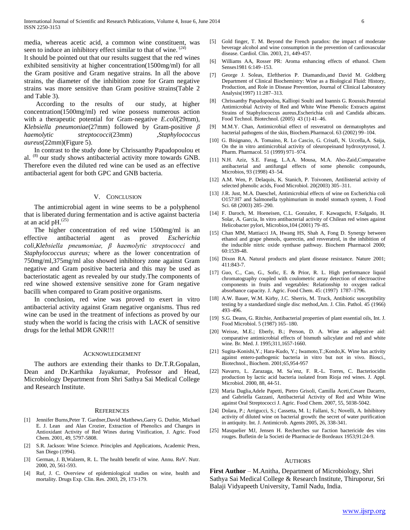media, whereas acetic acid, a common wine constituent, was seen to induce an inhibitory effect similar to that of wine. (*24*)

It should be pointed out that our results suggest that the red wines exhibited sensitivity at higher concentration(1500mg/ml) for all the Gram positive and Gram negative strains. In all the above strains, the diameter of the inhibition zone for Gram negative strains was more sensitive than Gram positive strains(Table 2 and Table 3).

 According to the results of our study, at higher concentration(1500mg/ml) red wine possess numerous action with a therapeutic potential for Gram-negative *E.coli*(29mm), *Klebsiella pneumoniae*(27mm) followed by Gram-positive *β haemolytic streptococci*(23mm) ,*Staphylococcus aureus*(22mm)(Figure 5).

 In contrast to the study done by Chrissanthy Papadopoulou et al. (8) our study shows antibacterial activity more towards GNB. Therefore even the diluted red wine can be used as an effective antibacterial agent for both GPC and GNB bacteria.

#### V. CONCLUSION

 The antimicrobial agent in wine seems to be a polyphenol that is liberated during fermentation and is active against bacteria at an acid  $pH.$ <sup>(25)</sup>

 The higher concentration of red wine 1500mg/ml is an effective antibacterial agent as proved *Escherichia coli,Klebsiella pneumoniae, β haemolytic streptococci* and *Staphylococcus aureus;* where as the lower concentration of 750mg/ml,375mg/ml also showed inhibitory zone against Gram negative and Gram positive bacteria and this may be used as bacteriostatic agent as revealed by our study*.*The components of red wine showed extensive sensitive zone for Gram negative bacilli when compared to Gram positive organisms.

 In conclusion, red wine was proved to exert in vitro antibacterial activity against Gram negative organisms. Thus red wine can be used in the treatment of infections as proved by our study when the world is facing the crisis with LACK of sensitive drugs for the lethal MDR GNR!!!

#### ACKNOWLEDGEMENT

 The authors are extending their thanks to Dr.T.R.Gopalan, Dean and Dr.Karthika Jayakumar, Professor and Head, Microbiology Department from Shri Sathya Sai Medical College and Research Institute.

#### **REFERENCES**

- [1] Jennifer Burns,Peter T. Gardner,David Matthews,Garry G. Duthie, Michael E. J. Lean and Alan Crozier, Extraction of Phenolics and Changes in Antioxidant Activity of Red Wines during Vinification, J. Agric. Food Chem. 2001, 49, 5797-5808.
- [2] S.R. Jackson: Wine Science. Principles and Applications, Academic Press, San Diego (1994).
- [3] German, J. B, Walzem, R. L. The health benefit of wine. Annu. ReV. Nutr. 2000, 20, 561-593.
- [4] Ruf, J. C. Overview of epidemiological studies on wine, health and mortality. Drugs Exp. Clin. Res. 2003, 29, 173-179.
- [5] Gold finger, T. M. Beyond the French paradox: the impact of moderate beverage alcohol and wine consumption in the prevention of cardiovascular disease. Cardiol. Clin. 2003, 21, 449-457.
- [6] Williams AA, Rosser PR: Aroma enhancing effects of ethanol. Chem Senses1981 6:149–153.
- [7] George J. Soleas, Eleftherios P. Diamandis,and David M. Goldberg Department of Clinical Biochemistry: Wine as a Biological Fluid: History, Production, and Role in Disease Prevention, Journal of Clinical Laboratory Analysis(1997) 11:287–313.
- [8] Chrissanthy Papadopoulou, Kalliopi Soulti and Ioannis G. Roussis.Potential Antimicrobial Activity of Red and White Wine Phenolic Extracts against Strains of Staphylococcus aureus,Escherichia coli and Candida albicans. Food Technol. Biotechnol. (2005) 43 (1) 41–46.
- [9] M.M.Y. Chan, Antimicrobial effect of resveratrol on dermatophytes and bacterial pathogens of the skin, Biochem.Pharmacol. 63 (2002) 99–104.
- [10] G. Bisignano, A. Tomaino, R. Lo Cascio, G. Crisafi, N. Uccella,A. Saija, On the in vitro antimicrobial activity of oleuropeinand hydroxytyrosol, J. Pharm. Pharmacol. 51 (1999) 971–974.
- [11] N.H. Aziz, S.E. Farag, L.A.A. Mousa, M.A. Abo-Zaid,Comparative antibacterial and antifungal effects of some phenolic compounds, Microbios, 93 (1998) 43–54.
- [12] A.M. Wen, P. Delaquis, K. Stanich, P. Toivonen, Antilisterial activity of selected phenolic acids, Food Microbiol. 20(2003) 305–311.
- [13] J.R. Just, M.A. Daeschel, Antimicrobial effects of wine on Escherichia coli O157:H7 and Salmonella typhimurium in model stomach system, J. Food Sci. 68 (2003) 285–290.
- [14] F. Daroch, M. Hoeneisen, C.L. Gonzalez, F. Kawaguchi, F.Salgado, H. Solar, A. Garcia, In vitro antibacterial activity of Chilean red wines against Helicobacter pylori, Microbios,104 (2001) 79–85.
- [15] Chan MM, Mattiacci JA, Hwang HS, Shah A, Fong D. Synergy between ethanol and grape phenols, querectin, and resveratrol, in the inhibition of the inducible nitric oxide synthase pathway. Biochem Pharmacol 2000; 60:1539-48.
- [16] Dixon RA. Natural products and plant disease resistance. Nature 2001; 411:843-7.
- [17] Guo, C., Cao, G., Sofic, E. & Prior, R. L. High performance liquid chromatography coupled with coulometric array detection of electroactive components in fruits and vegetables: Relationship to oxygen radical absorbance capacity. J. Agric. Food Chem. 45: (1997) 1787–1796.
- [18] A.W. Bauer, W.M. Kirby, J.C. Sherris, M. Truck, Antibiotic susceptibility testing by a standardized single disc method,Am. J. Clin. Pathol. 45 (1966) 493–496.
- [19] S.G. Deans, G. Ritchie, Antibacterial properties of plant essential oils, Int. J. Food Microbiol. 5 (1987) 165–180.
- [20] Weisse, M.E.; Eberly, B.; Person, D. A. Wine as adigestive aid: comparative antimicrobial effects of bismuth salicylate and red and white wine. Br. Med. J. 1995;311,1657-1660.
- [21] Sugita-Konishi,Y.; Hara-Kudo, Y.; Iwamoto,T.;Kondo,K. Wine has activity against entero-pathogenic bacteria in vitro but not in vivo. Biosci., Biotechnol., Biochem. 2001;65,954-957
- [22] Navarro, L. Zarazaga, M. Sa´enz, F. R.-L. Torres, C. Bacteriocidin production by lactic acid bacteria isolated from Rioja red wines. J. Appl. Microbiol. 2000, 88, 44-51.
- [23] Maria Daglia,Adele Papetti, Pietro Grisoli, Camilla Aceti,Cesare Dacarro, and Gabriella Gazzani, Antibacterial Activity of Red and White Wine against Oral Streptococci J. Agric. Food Chem. 2007, 55, 5038-5042.
- [24] Dolara, P.; Arrigucci, S.; Cassetta, M. I.; Fallani, S.; Novelli, A. Inhibitory activity of diluted wine on bacterial growth: the secret of water purification in antiquity. Int. J. Antimicrob. Agents 2005, 26, 338-341.
- [25] Masquelier MJ, Jensen H. Recherches sur I'action bactericide des vins rouges. Bufletin de la Societi de Pharmacie de Bordeaux 1953;91:24-9.

#### AUTHORS

**First Author** – M.Anitha, Department of Microbiology, Shri Sathya Sai Medical College & Research Institute, Thiruporur, Sri Balaji Vidyapeeth University, Tamil Nadu, India.